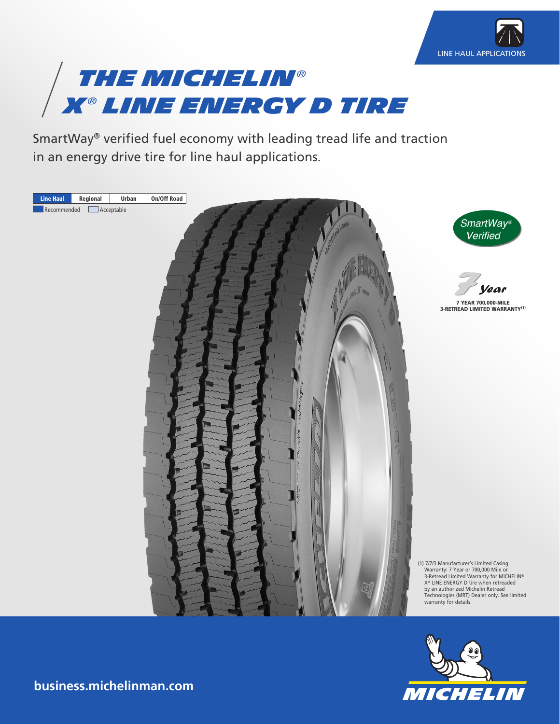



SmartWay® verified fuel economy with leading tread life and traction in an energy drive tire for line haul applications.





**business.michelinman.com**